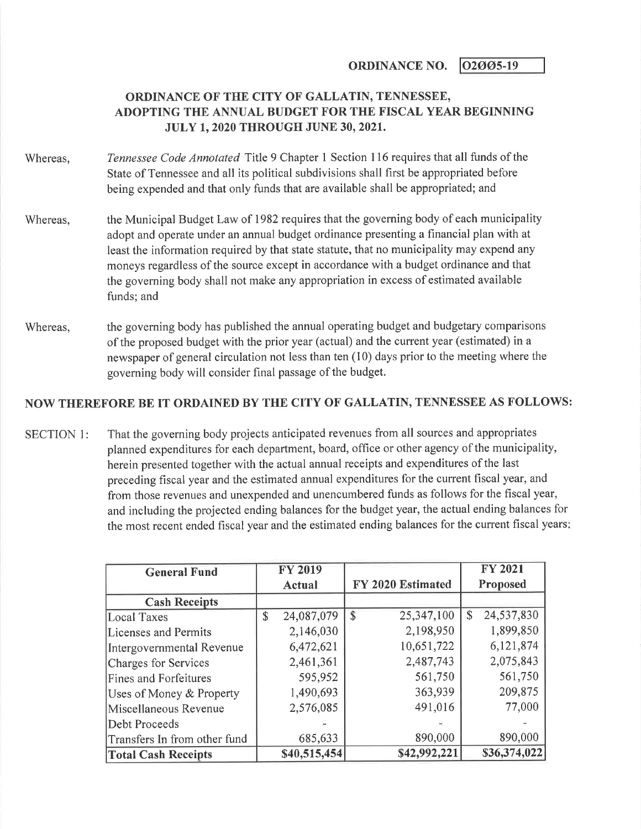ORDINANCE NO.  $\sqrt{02005-19}$ 

## ORDINANCE OF THE CITY OF GALLATIN, TENNESSEE, ADOPTING THE ANNUAL BUDGET FOR THE FISCAL YEAR BEGINNING JULY 1,2020 THROUGH JUNE 30,2021.

- Whereas, Tennessee Code Annotated Title 9 Chapter 1 Section 116 requires that all funds of the State of Tennessee and all its political subdivisions shall first be appropriated before being expended and that only funds that are available shall be appropriated; and
- Whereas, the Municipal Budget Law of 1982 requires that the governing body of each municipality adopt and operate under an annual budget ordinance presenting a financial plan with at least the information required by that state statute, that no municipality may expend any moneys regardless of the source except in accordance with a budget ordinance and that the governing body shall not make any appropriation in excess of estimated available funds; and
- Whereas, the governing body has published the annual operating budget and budgetary comparisons of the proposed budget with the prior year (actual) and the current year (estimated) in a newspaper of general circulation not less than ten (10) days prior to the meeting where the governing body will consider final passage of the budget.

## NOW THEREFORE BE IT ORDAINED BY THE CITY OF GALLATIN, TENNESSEE AS FOLLOWS:

SECTION 1: That the governing body projects anticipated revenues from all sources and appropriates planned expenditures for each department, board, office or other agency of the municipality, herein presented together with the actual annual receipts and expenditures of the last preceding fiscal year and the estimated annual expenditures for the current fiscal year, and from those revenues and unexpended and unencumbered funds as follows for the fiscal year, and including the projected ending balances for the budget year, the actual ending balances for the most recent ended fiscal year and the estimated ending balances for the current fiscal years

| <b>General Fund</b>          |               | <b>FY 2019</b> |                   |              | <b>FY 2021</b> |
|------------------------------|---------------|----------------|-------------------|--------------|----------------|
|                              |               | Actual         | FY 2020 Estimated |              | Proposed       |
| <b>Cash Receipts</b>         |               |                |                   |              |                |
| Local Taxes                  | $\mathcal{S}$ | 24,087,079     | \$<br>25,347,100  | $\mathbb{S}$ | 24,537,830     |
| Licenses and Permits         |               | 2,146,030      | 2,198,950         |              | 1,899,850      |
| Intergovernmental Revenue    |               | 6,472,621      | 10,651,722        |              | 6,121,874      |
| Charges for Services         |               | 2,461,361      | 2,487,743         |              | 2,075,843      |
| <b>Fines and Forfeitures</b> |               | 595,952        | 561,750           |              | 561,750        |
| Uses of Money & Property     |               | 1,490,693      | 363,939           |              | 209,875        |
| Miscellaneous Revenue        |               | 2,576,085      | 491,016           |              | 77,000         |
| Debt Proceeds                |               |                |                   |              |                |
| Transfers In from other fund |               | 685,633        | 890,000           |              | 890,000        |
| <b>Total Cash Receipts</b>   |               | \$40,515,454   | \$42,992,221      |              | \$36,374,022   |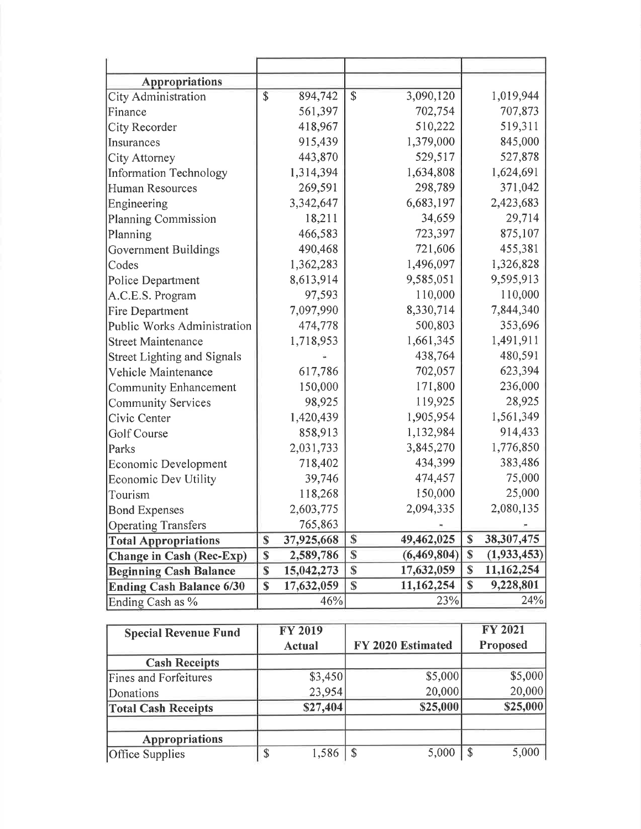| <b>Appropriations</b>              |              |            |                   |                         |               |
|------------------------------------|--------------|------------|-------------------|-------------------------|---------------|
| <b>City Administration</b>         | \$           | 894,742    | \$<br>3,090,120   |                         | 1,019,944     |
| Finance                            |              | 561,397    | 702,754           |                         | 707,873       |
| City Recorder                      |              | 418,967    | 510,222           |                         | 519,311       |
| Insurances                         |              | 915,439    | 1,379,000         |                         | 845,000       |
| City Attorney                      |              | 443,870    | 529,517           |                         | 527,878       |
| <b>Information Technology</b>      |              | 1,314,394  | 1,634,808         |                         | 1,624,691     |
| <b>Human Resources</b>             |              | 269,591    | 298,789           |                         | 371,042       |
| Engineering                        |              | 3,342,647  | 6,683,197         |                         | 2,423,683     |
| <b>Planning Commission</b>         |              | 18,211     | 34,659            |                         | 29,714        |
| Planning                           |              | 466,583    | 723,397           |                         | 875,107       |
| Government Buildings               |              | 490,468    | 721,606           |                         | 455,381       |
| Codes                              |              | 1,362,283  | 1,496,097         |                         | 1,326,828     |
| Police Department                  |              | 8,613,914  | 9,585,051         |                         | 9,595,913     |
| A.C.E.S. Program                   |              | 97,593     | 110,000           |                         | 110,000       |
| <b>Fire Department</b>             |              | 7,097,990  | 8,330,714         |                         | 7,844,340     |
| Public Works Administration        |              | 474,778    | 500,803           |                         | 353,696       |
| <b>Street Maintenance</b>          |              | 1,718,953  | 1,661,345         |                         | 1,491,911     |
| <b>Street Lighting and Signals</b> |              |            | 438,764           |                         | 480,591       |
| Vehicle Maintenance                |              | 617,786    | 702,057           |                         | 623,394       |
| <b>Community Enhancement</b>       |              | 150,000    | 171,800           |                         | 236,000       |
| <b>Community Services</b>          |              | 98,925     | 119,925           |                         | 28,925        |
| Civic Center                       |              | 1,420,439  | 1,905,954         |                         | 1,561,349     |
| Golf Course                        |              | 858,913    | 1,132,984         |                         | 914,433       |
| Parks                              |              | 2,031,733  | 3,845,270         |                         | 1,776,850     |
| Economic Development               |              | 718,402    | 434,399           |                         | 383,486       |
| Economic Dev Utility               |              | 39,746     | 474,457           |                         | 75,000        |
| Tourism                            |              | 118,268    | 150,000           |                         | 25,000        |
| <b>Bond Expenses</b>               |              | 2,603,775  | 2,094,335         |                         | 2,080,135     |
| <b>Operating Transfers</b>         |              | 765,863    |                   |                         |               |
| <b>Total Appropriations</b>        | \$           | 37,925,668 | \$<br>49,462,025  | $\overline{\mathbb{S}}$ | 38,307,475    |
| <b>Change in Cash (Rec-Exp)</b>    | $\mathbb{S}$ | 2,589,786  | \$<br>(6,469,804) | \$                      | (1, 933, 453) |
| <b>Beginning Cash Balance</b>      | \$           | 15,042,273 | \$<br>17,632,059  | \$                      | 11,162,254    |
| <b>Ending Cash Balance 6/30</b>    | \$           | 17,632,059 | \$<br>11,162,254  | \$                      | 9,228,801     |
| Ending Cash as %                   |              | 46%        | 23%               |                         | 24%           |

| <b>Special Revenue Fund</b>  | <b>FY 2019</b> |                        | <b>FY 2021</b> |  |
|------------------------------|----------------|------------------------|----------------|--|
|                              | Actual         | FY 2020 Estimated      | Proposed       |  |
| <b>Cash Receipts</b>         |                |                        |                |  |
| <b>Fines and Forfeitures</b> | \$3,450        | \$5,000                | \$5,000        |  |
| Donations                    | 23,954         | 20,000                 | 20,000         |  |
| <b>Total Cash Receipts</b>   | \$27,404       | \$25,000               | \$25,000       |  |
| Appropriations               |                |                        |                |  |
| Office Supplies              | \$<br>1,586    | 5,000<br>$\mathcal{S}$ | 5,000          |  |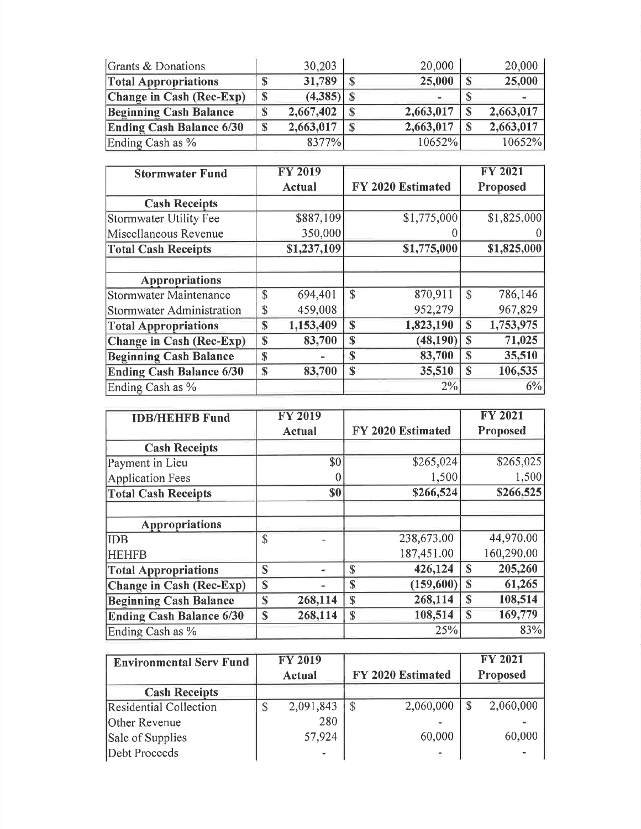| Grants & Donations              |   | 30,203    | 20,000    | 20,000    |
|---------------------------------|---|-----------|-----------|-----------|
| <b>Total Appropriations</b>     |   | 31,789    | 25,000    | 25,000    |
| Change in Cash (Rec-Exp)        | ⊕ | (4,385)   |           |           |
| <b>Beginning Cash Balance</b>   | 關 | 2,667,402 | 2,663,017 | 2,663,017 |
| <b>Ending Cash Balance 6/30</b> | S | 2,663,017 | 2,663,017 | 2,663,017 |
| Ending Cash as %                |   | 8377%     | 10652%    | 10652%    |

| <b>Stormwater Fund</b>           |               | <b>FY 2019</b> |                       |               | <b>FY 2021</b> |
|----------------------------------|---------------|----------------|-----------------------|---------------|----------------|
|                                  |               | <b>Actual</b>  | FY 2020 Estimated     |               | Proposed       |
| <b>Cash Receipts</b>             |               |                |                       |               |                |
| Stormwater Utility Fee           |               | \$887,109      | \$1,775,000           |               | \$1,825,000    |
| Miscellaneous Revenue            |               | 350,000        |                       |               |                |
| <b>Total Cash Receipts</b>       |               | \$1,237,109    | \$1,775,000           |               | \$1,825,000    |
|                                  |               |                |                       |               |                |
| Appropriations                   |               |                |                       |               |                |
| <b>Stormwater Maintenance</b>    | $\mathcal{S}$ | 694,401        | \$<br>870,911         | $\mathcal{S}$ | 786,146        |
| <b>Stormwater Administration</b> | \$            | 459,008        | 952,279               |               | 967,829        |
| <b>Total Appropriations</b>      | \$            | 1,153,409      | 1,823,190<br>\$       | S             | 1,753,975      |
| <b>Change in Cash (Rec-Exp)</b>  | $\mathbf S$   | 83,700         | (48, 190)<br>\$       | S             | 71,025         |
| <b>Beginning Cash Balance</b>    | $\mathbf S$   |                | 83,700<br>$\mathbf S$ | $\mathbf S$   | 35,510         |
| <b>Ending Cash Balance 6/30</b>  | $\mathbf S$   | 83,700         | $\mathbf S$<br>35,510 | $\mathbf S$   | 106,535        |
| Ending Cash as %                 |               |                | 2%                    |               | 6%             |

| <b>IDB/HEHFB Fund</b>           |              | <b>FY 2019</b> |              |                   |              | <b>FY 2021</b> |
|---------------------------------|--------------|----------------|--------------|-------------------|--------------|----------------|
|                                 |              | <b>Actual</b>  |              | FY 2020 Estimated |              | Proposed       |
| <b>Cash Receipts</b>            |              |                |              |                   |              |                |
| Payment in Lieu                 |              | \$0            |              | \$265,024         |              | \$265,025      |
| <b>Application Fees</b>         |              |                |              | 1,500             |              | 1,500          |
| <b>Total Cash Receipts</b>      |              | \$0            |              | \$266,524         |              | \$266,525      |
|                                 |              |                |              |                   |              |                |
| <b>Appropriations</b>           |              |                |              |                   |              |                |
| <b>IDB</b>                      | $\mathbb{S}$ |                |              | 238,673.00        |              | 44,970.00      |
| <b>HEHFB</b>                    |              |                |              | 187,451.00        |              | 160,290.00     |
| <b>Total Appropriations</b>     | S            |                | S            | 426,124           | S            | 205,260        |
| Change in Cash (Rec-Exp)        | $\mathbf S$  |                | S            | (159,600)         | $\mathbb{S}$ | 61,265         |
| <b>Beginning Cash Balance</b>   | $\mathbf S$  | 268,114        | $\mathbb{S}$ | 268,114           | $\mathbf S$  | 108,514        |
| <b>Ending Cash Balance 6/30</b> | \$           | 268,114        | \$           | 108,514           | S            | 169,779        |
| Ending Cash as %                |              |                |              | 25%               |              | 83%            |

| <b>Environmental Serv Fund</b> | <b>FY 2019</b> |                   | <b>FY 2021</b> |
|--------------------------------|----------------|-------------------|----------------|
|                                | <b>Actual</b>  | FY 2020 Estimated | Proposed       |
| <b>Cash Receipts</b>           |                |                   |                |
| <b>Residential Collection</b>  | 2,091,843      | 2,060,000         | 2,060,000      |
| Other Revenue                  | 280            |                   |                |
| Sale of Supplies               | 57,924         | 60,000            | 60,000         |
| Debt Proceeds                  |                |                   |                |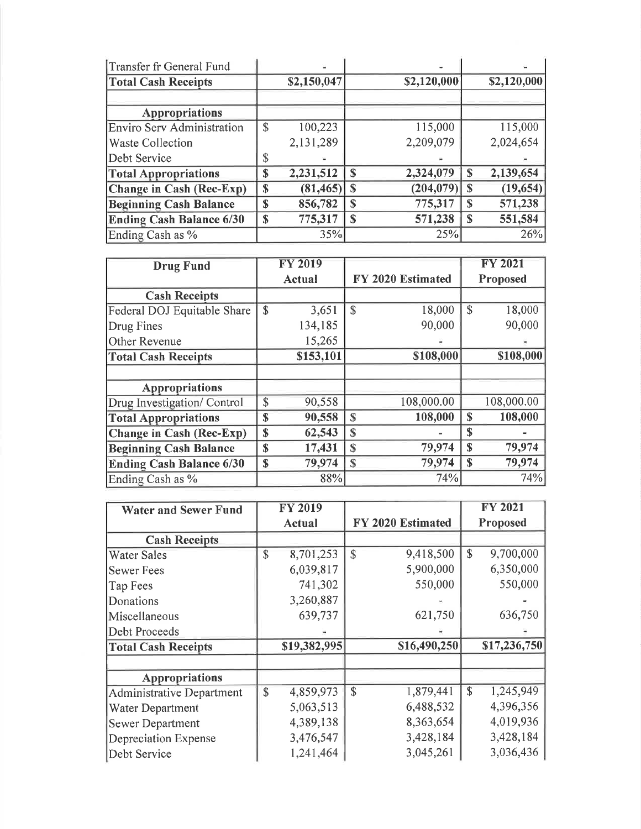| Transfer fr General Fund      |             | Ξ           |             |             |   |             |
|-------------------------------|-------------|-------------|-------------|-------------|---|-------------|
| <b>Total Cash Receipts</b>    |             | \$2,150,047 |             | \$2,120,000 |   | \$2,120,000 |
| <b>Appropriations</b>         |             |             |             |             |   |             |
| Enviro Serv Administration    | $\mathbf S$ | 100,223     |             | 115,000     |   | 115,000     |
| <b>Waste Collection</b>       |             | 2,131,289   |             | 2,209,079   |   | 2,024,654   |
| Debt Service                  |             |             |             |             |   |             |
| <b>Total Appropriations</b>   | \$          | 2,231,512   | S           | 2,324,079   | S | 2,139,654   |
| Change in Cash (Rec-Exp)      | \$          | (81, 465)   | $\mathbf S$ | (204, 079)  | S | (19, 654)   |
| <b>Beginning Cash Balance</b> | S           | 856,782     | \$          | 775,317     | S | 571,238     |
| Ending Cash Balance 6/30      | S           | 775,317     | $\mathbf S$ | 571,238     | S | 551,584     |
| Ending Cash as %              |             | 35%         |             | 25%         |   | 26%         |

| <b>Drug Fund</b>                | <b>FY 2019</b>         |           |                    |                   | <b>FY 2021</b> |            |  |
|---------------------------------|------------------------|-----------|--------------------|-------------------|----------------|------------|--|
|                                 | Actual                 |           |                    | FY 2020 Estimated | Proposed       |            |  |
| <b>Cash Receipts</b>            |                        |           |                    |                   |                |            |  |
| Federal DOJ Equitable Share     | $\mathbf{\mathcal{S}}$ | 3,651     | $\mathbf{\hat{z}}$ | 18,000            | $\mathcal{S}$  | 18,000     |  |
| Drug Fines                      |                        | 134,185   |                    | 90,000            |                | 90,000     |  |
| Other Revenue                   |                        | 15,265    |                    |                   |                |            |  |
| <b>Total Cash Receipts</b>      |                        | \$153,101 |                    | \$108,000         |                | \$108,000  |  |
|                                 |                        |           |                    |                   |                |            |  |
| <b>Appropriations</b>           |                        |           |                    |                   |                |            |  |
| Drug Investigation/ Control     | \$                     | 90,558    |                    | 108,000.00        |                | 108,000.00 |  |
| <b>Total Appropriations</b>     | $\mathbf S$            | 90,558    | S                  | 108,000           | S              | 108,000    |  |
| Change in Cash (Rec-Exp)        | \$                     | 62,543    | \$                 |                   | $\mathbf S$    |            |  |
| <b>Beginning Cash Balance</b>   | $\mathbf S$            | 17,431    | $\mathbf S$        | 79,974            | \$             | 79,974     |  |
| <b>Ending Cash Balance 6/30</b> | $\mathbf S$            | 79,974    | $\mathbf S$        | 79,974            | $\mathbf S$    | 79,974     |  |
| Ending Cash as %                |                        | 88%       |                    | 74%               |                | 74%        |  |

| <b>Water and Sewer Fund</b>      | <b>FY 2019</b>  |               |                   |             | <b>FY 2021</b> |
|----------------------------------|-----------------|---------------|-------------------|-------------|----------------|
|                                  | Actual          |               | FY 2020 Estimated |             | Proposed       |
| <b>Cash Receipts</b>             |                 |               |                   |             |                |
| <b>Water Sales</b>               | \$<br>8,701,253 | $\mathbf S$   | 9,418,500         | \$          | 9,700,000      |
| <b>Sewer Fees</b>                | 6,039,817       |               | 5,900,000         |             | 6,350,000      |
| Tap Fees                         | 741,302         |               | 550,000           |             | 550,000        |
| Donations                        | 3,260,887       |               |                   |             |                |
| Miscellaneous                    | 639,737         |               | 621,750           |             | 636,750        |
| Debt Proceeds                    |                 |               |                   |             |                |
| <b>Total Cash Receipts</b>       | \$19,382,995    |               | \$16,490,250      |             | \$17,236,750   |
|                                  |                 |               |                   |             |                |
| Appropriations                   |                 |               |                   |             |                |
| <b>Administrative Department</b> | \$<br>4,859,973 | $\mathcal{S}$ | 1,879,441         | $\mathbf S$ | 1,245,949      |
| Water Department                 | 5,063,513       |               | 6,488,532         |             | 4,396,356      |
| <b>Sewer Department</b>          | 4,389,138       |               | 8,363,654         |             | 4,019,936      |
| Depreciation Expense             | 3,476,547       |               | 3,428,184         |             | 3,428,184      |
| Debt Service                     | 1,241,464       |               | 3,045,261         |             | 3,036,436      |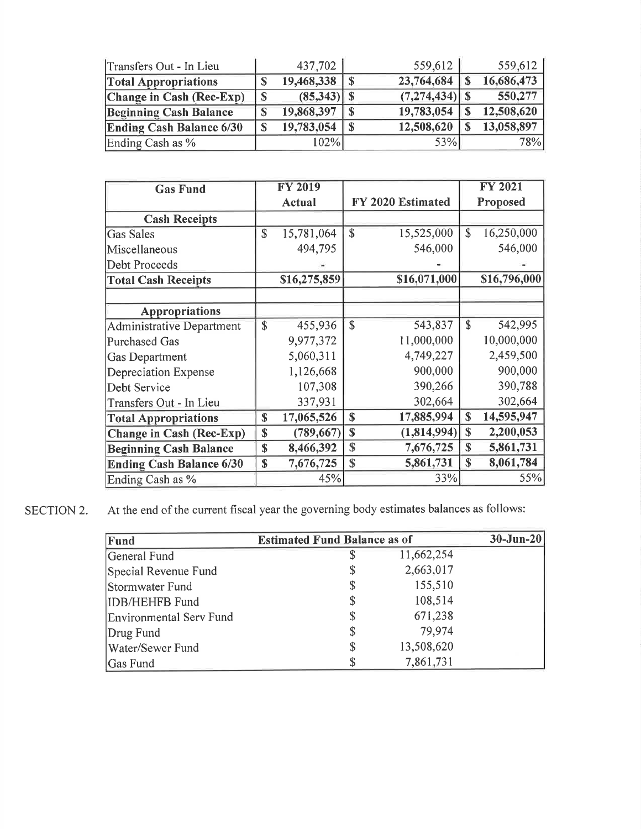| Transfers Out - In Lieu         | 437,702    |              | 559,612          | 559,612    |
|---------------------------------|------------|--------------|------------------|------------|
| <b>Total Appropriations</b>     | 19,468,338 |              | 23,764,684       | 16,686,473 |
| Change in Cash (Rec-Exp)        | (85, 343)  |              | $(7,274,434)$ \$ | 550,277    |
| <b>Beginning Cash Balance</b>   | 19,868,397 |              | 19,783,054       | 12,508,620 |
| <b>Ending Cash Balance 6/30</b> | 19,783,054 | $\mathbf{s}$ | 12,508,620       | 13,058,897 |
| Ending Cash as %                | 102%       |              | 53%              | 78%        |

| <b>Gas Fund</b>                 |              | <b>FY 2019</b> |                             |             | <b>FY 2021</b> |
|---------------------------------|--------------|----------------|-----------------------------|-------------|----------------|
|                                 |              | <b>Actual</b>  | FY 2020 Estimated           |             | Proposed       |
| <b>Cash Receipts</b>            |              |                |                             |             |                |
| <b>Gas Sales</b>                | $\mathbb{S}$ | 15,781,064     | \$<br>15,525,000            | \$          | 16,250,000     |
| Miscellaneous                   |              | 494,795        | 546,000                     |             | 546,000        |
| Debt Proceeds                   |              |                |                             |             |                |
| <b>Total Cash Receipts</b>      |              | \$16,275,859   | \$16,071,000                |             | \$16,796,000   |
|                                 |              |                |                             |             |                |
| <b>Appropriations</b>           |              |                |                             |             |                |
| Administrative Department       | \$           | 455,936        | \$<br>543,837               | \$          | 542,995        |
| Purchased Gas                   |              | 9,977,372      | 11,000,000                  |             | 10,000,000     |
| <b>Gas Department</b>           |              | 5,060,311      | 4,749,227                   |             | 2,459,500      |
| Depreciation Expense            |              | 1,126,668      | 900,000                     |             | 900,000        |
| Debt Service                    |              | 107,308        | 390,266                     |             | 390,788        |
| Transfers Out - In Lieu         |              | 337,931        | 302,664                     |             | 302,664        |
| <b>Total Appropriations</b>     | $\mathbb{S}$ | 17,065,526     | 17,885,994<br>$\mathbf S$   | $\mathbf S$ | 14,595,947     |
| <b>Change in Cash (Rec-Exp)</b> | $\mathbf S$  | (789, 667)     | (1,814,994)<br>$\mathbb{S}$ | \$          | 2,200,053      |
| <b>Beginning Cash Balance</b>   | $\mathbf S$  | 8,466,392      | \$<br>7,676,725             | \$          | 5,861,731      |
| <b>Ending Cash Balance 6/30</b> | $\mathbf{s}$ | 7,676,725      | 5,861,731<br>\$             | S           | 8,061,784      |
| Ending Cash as %                |              | 45%            | 33%                         |             | 55%            |

SECTION 2. At the end of the current fiscal year the governing body estimates balances as follows:

| Fund                           | <b>Estimated Fund Balance as of</b> |            | $30 - Jun - 20$ |
|--------------------------------|-------------------------------------|------------|-----------------|
| General Fund                   | \$                                  | 11,662,254 |                 |
| Special Revenue Fund           | \$                                  | 2,663,017  |                 |
| Stormwater Fund                | \$                                  | 155,510    |                 |
| <b>IDB/HEHFB Fund</b>          | \$                                  | 108,514    |                 |
| <b>Environmental Serv Fund</b> | \$                                  | 671,238    |                 |
| Drug Fund                      | \$                                  | 79,974     |                 |
| Water/Sewer Fund               | \$                                  | 13,508,620 |                 |
| Gas Fund                       | \$                                  | 7,861,731  |                 |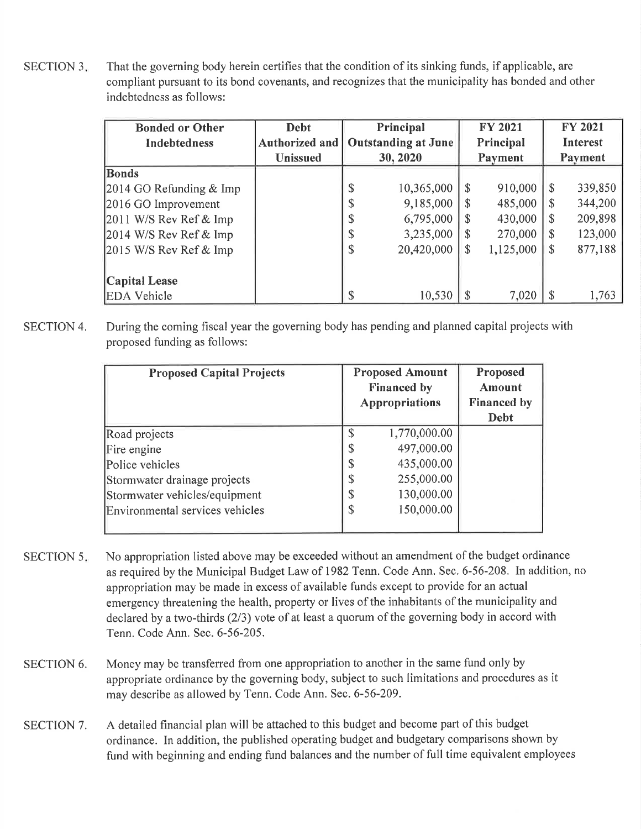SECTION 3. That the governing body herein certifies that the condition of its sinking funds, if applicable, are compliant pursuant to its bond covenants, and recognizes that the municipality has bonded and other indebtedness as follows:

| <b>Bonded or Other</b>    | <b>Debt</b>     |                                         | Principal  |                    | <b>FY 2021</b>  |  | <b>FY 2021</b> |
|---------------------------|-----------------|-----------------------------------------|------------|--------------------|-----------------|--|----------------|
| <b>Indebtedness</b>       | Authorized and  | <b>Outstanding at June</b><br>Principal |            |                    | <b>Interest</b> |  |                |
|                           | <b>Unissued</b> | 30, 2020<br>Payment                     |            | Payment            |                 |  |                |
| <b>Bonds</b>              |                 |                                         |            |                    |                 |  |                |
| 2014 GO Refunding $&$ Imp |                 | \$                                      | 10,365,000 | $\mathcal{S}$      | 910,000         |  | 339,850        |
| 2016 GO Improvement       |                 | J                                       | 9,185,000  | -S                 | 485,000         |  | 344,200        |
| $2011$ W/S Rev Ref & Imp  |                 | Φ                                       | 6,795,000  | <sup>\$</sup>      | 430,000         |  | 209,898        |
| 2014 W/S Rev Ref & Imp    |                 | D                                       | 3,235,000  | $\mathbf{\hat{s}}$ | 270,000         |  | 123,000        |
| $2015$ W/S Rev Ref & Imp  |                 | \$                                      | 20,420,000 | $\sqrt[6]{3}$      | 1,125,000       |  | 877,188        |
|                           |                 |                                         |            |                    |                 |  |                |
| <b>Capital Lease</b>      |                 |                                         |            |                    |                 |  |                |
| <b>EDA</b> Vehicle        |                 | \$                                      | 10,530     |                    | 7,020           |  | 1,763          |

SECTION 4. During the coming fiscal year the governing body has pending and planned capital projects with proposed funding as follows:

| <b>Proposed Capital Projects</b> |        | <b>Proposed Amount</b><br><b>Financed by</b><br><b>Appropriations</b> | Proposed<br>Amount<br><b>Financed by</b><br>Debt |
|----------------------------------|--------|-----------------------------------------------------------------------|--------------------------------------------------|
| Road projects                    |        | 1,770,000.00                                                          |                                                  |
| Fire engine                      | \$     | 497,000.00                                                            |                                                  |
| Police vehicles                  | \$     | 435,000.00                                                            |                                                  |
| Stormwater drainage projects     | ጥ<br>Φ | 255,000.00                                                            |                                                  |
| Stormwater vehicles/equipment    | \$     | 130,000.00                                                            |                                                  |
| Environmental services vehicles  | \$     | 150,000.00                                                            |                                                  |

- SECTION 5. No appropriation listed above may be exceeded without an amendment of the budget ordinance as required by the Municipal Budget Law of 1982 Tenn. Code Ann. Sec. 6-56-208. In addition, no appropriation may be made in excess of available funds except to provide for an actual emergency threatening the health, property or lives of the inhabitants of the municipality and declared by a two-thirds (2/3) vote of at least a quorum of the governing body in accord with Tenn. Code Ann. Sec. 6-56-205.
- SECTION 6. Money may be transferred from one appropriation to another in the same fund only by appropriate ordinance by the governing body, subject to such limitations and procedures as it may describe as allowed by Tenn. Code Ann. Sec. 6-56-209.
- SECTION 7. A detailed financial plan will be attached to this budget and become part of this budget ordinance. In addition, the published operating budget and budgetary comparisons shown by fund with beginning and ending fund balances and the number of full time equivalent employees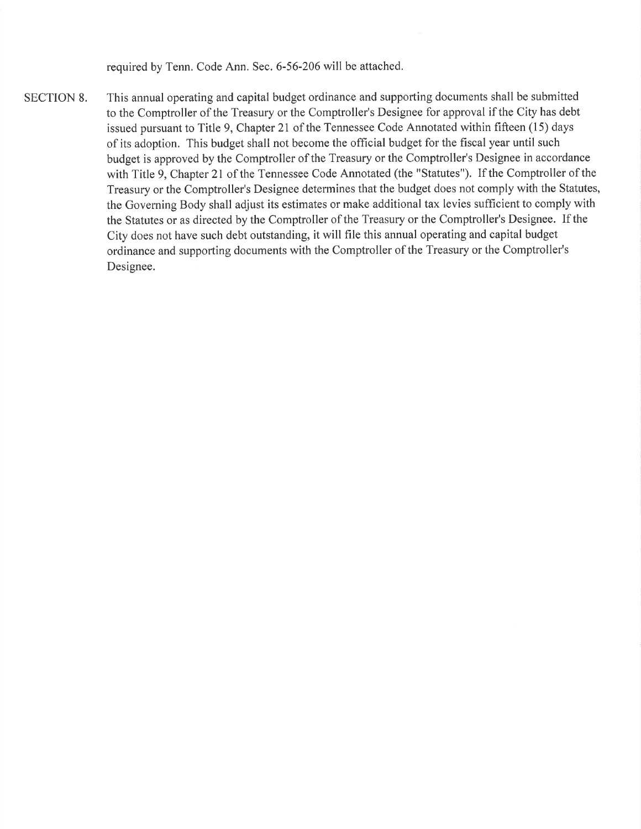required by Tenn. Code Ann. Sec. 6-56-206 will be attached.

SECTION 8. This annual operating and capital budget ordinance and supporting documents shall be submitted to the Comptroller of the Treasury or the Comptroller's Designee for approval if the City has debt issued pursuant to Title 9, Chapter 21 of the Tennessee Code Annotated within fifteen (15) days of its adoption. This budget shall not become the official budget for the fiscal year until such budget is approved by the Comptroller of the Treasury or the Comptroller's Designee in accordance with Title 9, Chapter 2l of the Tennessee Code Annotated (the "Statutes"). If the Comptroller of the Treasury or the Comptroller's Designee determines that the budget does not comply with the Statutes, the Governing Body shall adjust its estimates or make additional tax levies sufficient to comply with the Statutes or as directed by the Comptroller of the Treasury or the Comptroller's Designee. If the City does not have such debt outstanding, it will file this annual operating and capital budget ordinance and supporting documents with the Comptroller of the Treasury or the Comptroller's Designee.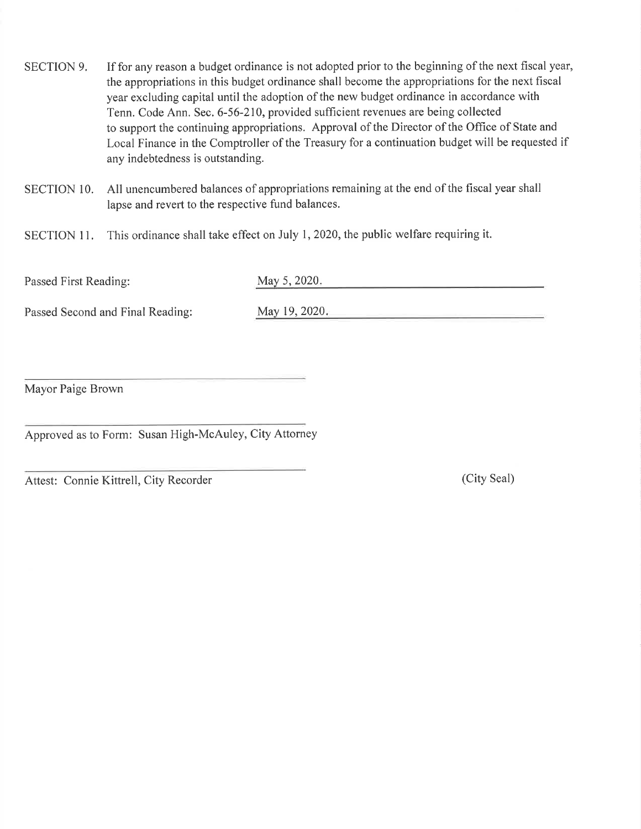- SECTION 9. If for any reason a budget ordinance is not adopted prior to the beginning of the next fiscal year, the appropriations in this budget ordinance shall become the appropriations for the next fiscal year excluding capital until the adoption of the new budget ordinance in accordance with Tenn. Code Ann. Sec. 6-56-210, provided sufficient revenues are being collected to support the continuing appropriations. Approval of the Director of the Office of State and Local Finance in the Comptroller of the Treasury for a continuation budget will be requested if any indebtedness is outstanding.
- SECTION 10. All unencumbered balances of appropriations remaining at the end of the fiscal year shall lapse and revert to the respective fund balances.
- SECTION 11. This ordinance shall take effect on July 1, 2020, the public welfare requiring it.

Passed First Reading: May 5, 2020.

Passed Second and Final Reading: May 19, 2020.

<u> 1980 - An Aonaichte ann an Cathracha ann an t-</u>

Mayor Paige Brown

Approved as to Form: Susan High-McAuley, City Attorney

Attest: Connie Kittrell, City Recorder (City Seal)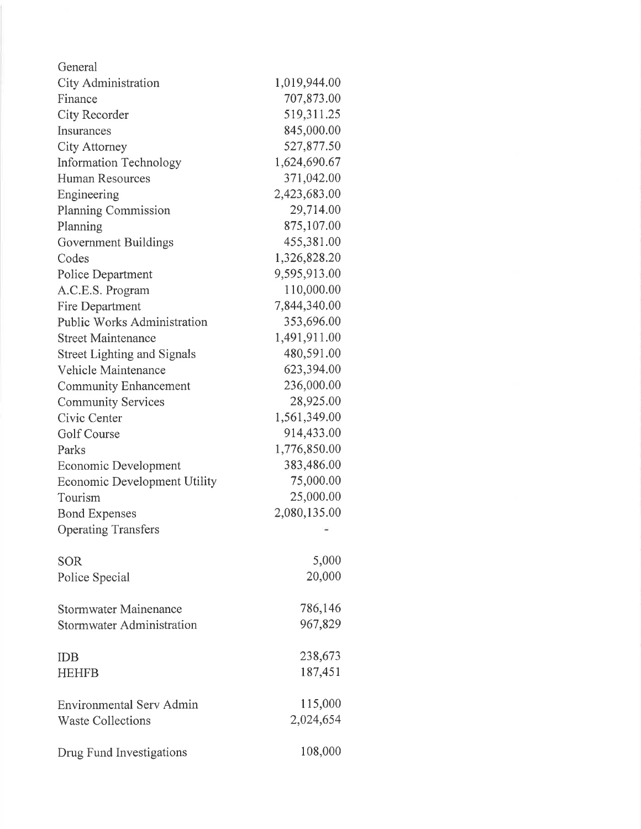| General                             |              |
|-------------------------------------|--------------|
| City Administration                 | 1,019,944.00 |
| Finance                             | 707,873.00   |
| City Recorder                       | 519,311.25   |
| Insurances                          | 845,000.00   |
| City Attorney                       | 527,877.50   |
| <b>Information Technology</b>       | 1,624,690.67 |
| <b>Human Resources</b>              | 371,042.00   |
| Engineering                         | 2,423,683.00 |
| <b>Planning Commission</b>          | 29,714.00    |
| Planning                            | 875,107.00   |
| Government Buildings                | 455,381.00   |
| Codes                               | 1,326,828.20 |
| Police Department                   | 9,595,913.00 |
| A.C.E.S. Program                    | 110,000.00   |
| Fire Department                     | 7,844,340.00 |
| <b>Public Works Administration</b>  | 353,696.00   |
| <b>Street Maintenance</b>           | 1,491,911.00 |
| <b>Street Lighting and Signals</b>  | 480,591.00   |
| Vehicle Maintenance                 | 623,394.00   |
| <b>Community Enhancement</b>        | 236,000.00   |
| <b>Community Services</b>           | 28,925.00    |
| Civic Center                        | 1,561,349.00 |
| Golf Course                         | 914,433.00   |
| Parks                               | 1,776,850.00 |
| Economic Development                | 383,486.00   |
| <b>Economic Development Utility</b> | 75,000.00    |
| Tourism                             | 25,000.00    |
| <b>Bond Expenses</b>                | 2,080,135.00 |
| <b>Operating Transfers</b>          |              |
|                                     |              |
| <b>SOR</b>                          | 5,000        |
| Police Special                      | 20,000       |
|                                     | 786,146      |
| <b>Stormwater Mainenance</b>        |              |
| Stormwater Administration           | 967,829      |
| <b>IDB</b>                          | 238,673      |
| <b>HEHFB</b>                        | 187,451      |
|                                     |              |
| <b>Environmental Serv Admin</b>     | 115,000      |
| <b>Waste Collections</b>            | 2,024,654    |
| Drug Fund Investigations            | 108,000      |
|                                     |              |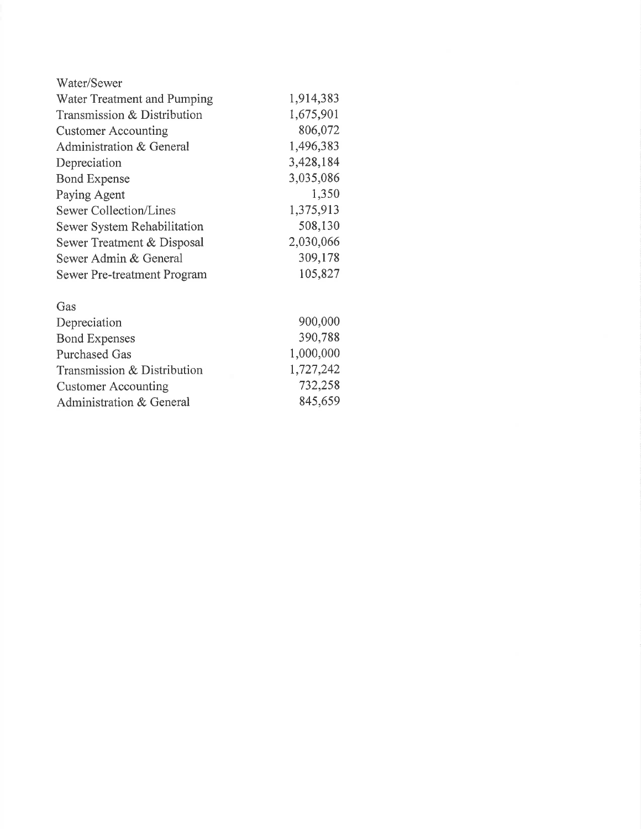| Water/Sewer                 |           |
|-----------------------------|-----------|
| Water Treatment and Pumping | 1,914,383 |
| Transmission & Distribution | 1,675,901 |
| <b>Customer Accounting</b>  | 806,072   |
| Administration & General    | 1,496,383 |
| Depreciation                | 3,428,184 |
| <b>Bond Expense</b>         | 3,035,086 |
| Paying Agent                | 1,350     |
| Sewer Collection/Lines      | 1,375,913 |
| Sewer System Rehabilitation | 508,130   |
| Sewer Treatment & Disposal  | 2,030,066 |
| Sewer Admin & General       | 309,178   |
| Sewer Pre-treatment Program | 105,827   |
| Gas                         |           |
| Depreciation                | 900,000   |
| <b>Bond Expenses</b>        | 390,788   |
| <b>Purchased Gas</b>        | 1,000,000 |

r,727,242 732,258 845,659

Transmission & Distribution

Customer Accounting Administration & General